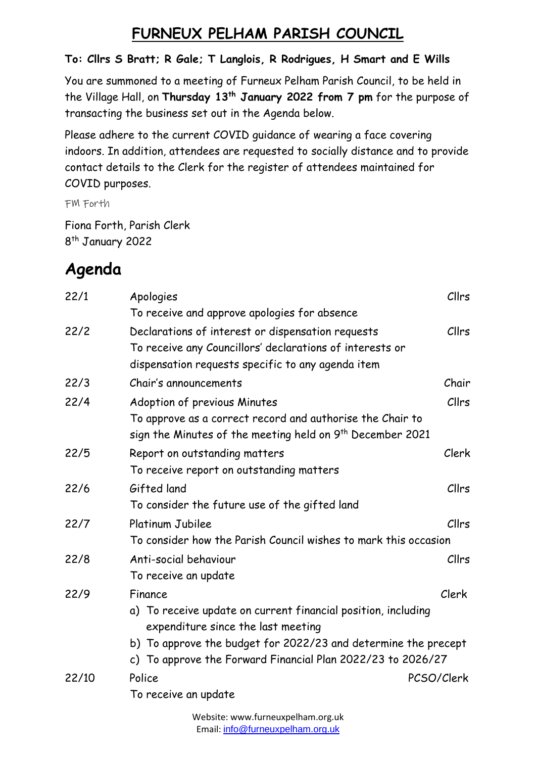## **FURNEUX PELHAM PARISH COUNCIL**

## **To: Cllrs S Bratt; R Gale; T Langlois, R Rodrigues, H Smart and E Wills**

You are summoned to a meeting of Furneux Pelham Parish Council, to be held in the Village Hall, on **Thursday 13th January 2022 from 7 pm** for the purpose of transacting the business set out in the Agenda below.

Please adhere to the current COVID guidance of wearing a face covering indoors. In addition, attendees are requested to socially distance and to provide contact details to the Clerk for the register of attendees maintained for COVID purposes.

FM Forth

Fiona Forth, Parish Clerk 8<sup>th</sup> January 2022

## **Agenda**

| 22/1  | Apologies                                                                                                                     | Cllrs        |  |
|-------|-------------------------------------------------------------------------------------------------------------------------------|--------------|--|
|       | To receive and approve apologies for absence                                                                                  |              |  |
| 22/2  | Declarations of interest or dispensation requests                                                                             | Cllrs        |  |
|       | To receive any Councillors' declarations of interests or                                                                      |              |  |
|       | dispensation requests specific to any agenda item                                                                             |              |  |
| 22/3  | Chair's announcements                                                                                                         | Chair        |  |
| 22/4  | Adoption of previous Minutes                                                                                                  | Cllrs        |  |
|       | To approve as a correct record and authorise the Chair to                                                                     |              |  |
|       | sign the Minutes of the meeting held on 9 <sup>th</sup> December 2021                                                         |              |  |
| 22/5  | Report on outstanding matters                                                                                                 | Clerk        |  |
|       | To receive report on outstanding matters                                                                                      |              |  |
| 22/6  | Gifted land                                                                                                                   | Cllrs        |  |
|       | To consider the future use of the gifted land                                                                                 |              |  |
| 22/7  | Platinum Jubilee                                                                                                              | Cllrs        |  |
|       | To consider how the Parish Council wishes to mark this occasion                                                               |              |  |
| 22/8  | Anti-social behaviour                                                                                                         | <b>Cllrs</b> |  |
|       | To receive an update                                                                                                          |              |  |
| 22/9  | Finance                                                                                                                       | Clerk        |  |
|       | a) To receive update on current financial position, including                                                                 |              |  |
|       | expenditure since the last meeting                                                                                            |              |  |
|       | b) To approve the budget for 2022/23 and determine the precept<br>c) To approve the Forward Financial Plan 2022/23 to 2026/27 |              |  |
|       |                                                                                                                               |              |  |
| 22/10 | Police                                                                                                                        | PCSO/Clerk   |  |
|       | To receive an update                                                                                                          |              |  |
|       | الرادي ومستور ومستوطأ المتعدد والمستحدث والمستندر والمستنقذ والمالكات                                                         |              |  |